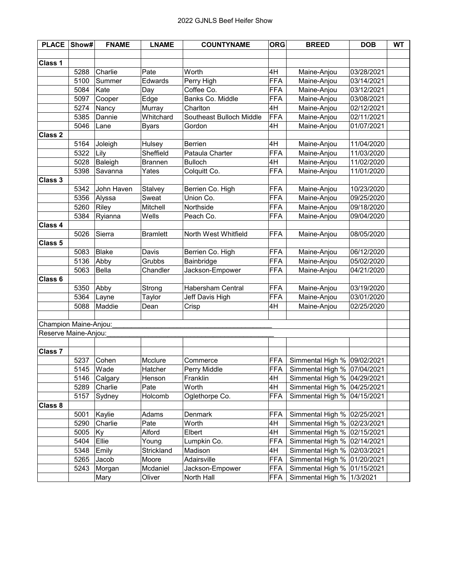| <b>PLACE</b>          | Show#     | <b>FNAME</b> | <b>LNAME</b>    | <b>COUNTYNAME</b>        | <b>ORG</b> | <b>BREED</b>                  | <b>DOB</b> | <b>WT</b> |
|-----------------------|-----------|--------------|-----------------|--------------------------|------------|-------------------------------|------------|-----------|
|                       |           |              |                 |                          |            |                               |            |           |
| <b>Class 1</b>        |           |              |                 |                          |            |                               |            |           |
|                       | 5288      | Charlie      | Pate            | Worth                    | 4H         | Maine-Anjou                   | 03/28/2021 |           |
|                       | 5100      | Summer       | Edwards         | Perry High               | <b>FFA</b> | Maine-Anjou                   | 03/14/2021 |           |
|                       | 5084      | Kate         | Day             | Coffee Co.               | <b>FFA</b> | Maine-Anjou                   | 03/12/2021 |           |
|                       | 5097      | Cooper       | Edge            | Banks Co. Middle         | <b>FFA</b> | Maine-Anjou                   | 03/08/2021 |           |
|                       | 5274      | Nancy        | Murray          | Charlton                 | 4H         | Maine-Anjou                   | 02/12/2021 |           |
|                       | 5385      | Dannie       | Whitchard       | Southeast Bulloch Middle | <b>FFA</b> | Maine-Anjou                   | 02/11/2021 |           |
|                       | 5046      | Lane         | <b>Byars</b>    | Gordon                   | 4H         | Maine-Anjou                   | 01/07/2021 |           |
| Class 2               |           |              |                 |                          |            |                               |            |           |
|                       | 5164      | Joleigh      | Hulsey          | Berrien                  | 4H         | Maine-Anjou                   | 11/04/2020 |           |
|                       | 5322      | Lily         | Sheffield       | Pataula Charter          | <b>FFA</b> | Maine-Anjou                   | 11/03/2020 |           |
|                       | 5028      | Baleigh      | <b>Brannen</b>  | <b>Bulloch</b>           | 4H         | Maine-Anjou                   | 11/02/2020 |           |
|                       | 5398      | Savanna      | Yates           | Colquitt Co.             | <b>FFA</b> | Maine-Anjou                   | 11/01/2020 |           |
| Class 3               |           |              |                 |                          |            |                               |            |           |
|                       | 5342      | John Haven   | Stalvey         | Berrien Co. High         | <b>FFA</b> | Maine-Anjou                   | 10/23/2020 |           |
|                       | 5356      | Alyssa       | Sweat           | Union Co.                | <b>FFA</b> | Maine-Anjou                   | 09/25/2020 |           |
|                       | 5260      | Riley        | Mitchell        | Northside                | <b>FFA</b> | Maine-Anjou                   | 09/18/2020 |           |
|                       | 5384      | Ryianna      | Wells           | Peach Co.                | <b>FFA</b> | Maine-Anjou                   | 09/04/2020 |           |
| <b>Class 4</b>        |           |              |                 |                          |            |                               |            |           |
|                       | 5026      | Sierra       | <b>Bramlett</b> | North West Whitfield     | <b>FFA</b> | Maine-Anjou                   | 08/05/2020 |           |
| Class <sub>5</sub>    |           |              |                 |                          |            |                               |            |           |
|                       | 5083      | Blake        | Davis           | Berrien Co. High         | FFA        | Maine-Anjou                   | 06/12/2020 |           |
|                       | 5136      | Abby         | Grubbs          | Bainbridge               | <b>FFA</b> | Maine-Anjou                   | 05/02/2020 |           |
|                       | 5063      | Bella        | Chandler        | Jackson-Empower          | <b>FFA</b> | Maine-Anjou                   | 04/21/2020 |           |
| Class 6               |           |              |                 |                          |            |                               |            |           |
|                       | 5350      | Abby         | Strong          | <b>Habersham Central</b> | <b>FFA</b> | Maine-Anjou                   | 03/19/2020 |           |
|                       | 5364      | Layne        | Taylor          | Jeff Davis High          | <b>FFA</b> | Maine-Anjou                   | 03/01/2020 |           |
|                       | 5088      | Maddie       | Dean            | Crisp                    | 4H         | Maine-Anjou                   | 02/25/2020 |           |
|                       |           |              |                 |                          |            |                               |            |           |
| Champion Maine-Anjou: |           |              |                 |                          |            |                               |            |           |
| Reserve Maine-Anjou:  |           |              |                 |                          |            |                               |            |           |
|                       |           |              |                 |                          |            |                               |            |           |
| Class 7               |           |              |                 |                          |            |                               |            |           |
|                       | 5237      | Cohen        | Mcclure         | Commerce                 | <b>FFA</b> | Simmental High %   09/02/2021 |            |           |
|                       | 5145 Wade |              | Hatcher         | Perry Middle             | <b>FFA</b> | Simmental High % 07/04/2021   |            |           |
|                       | 5146      | Calgary      | Henson          | Franklin                 | 4H         | Simmental High %   04/29/2021 |            |           |
|                       | 5289      | Charlie      | Pate            | Worth                    | 4H         | Simmental High %              | 04/25/2021 |           |
|                       | 5157      | Sydney       | Holcomb         | Oglethorpe Co.           | <b>FFA</b> | Simmental High %              | 04/15/2021 |           |
| <b>Class 8</b>        |           |              |                 |                          |            |                               |            |           |
|                       | 5001      | Kaylie       | Adams           | Denmark                  | <b>FFA</b> | Simmental High %              | 02/25/2021 |           |
|                       | 5290      | Charlie      | Pate            | Worth                    | 4H         | Simmental High %              | 02/23/2021 |           |
|                       | 5005      | Ky           | Alford          | Elbert                   | 4H         | Simmental High %              | 02/15/2021 |           |
|                       | 5404      | Ellie        | Young           | Lumpkin Co.              | <b>FFA</b> | Simmental High %              | 02/14/2021 |           |
|                       | 5348      | Emily        | Strickland      | Madison                  | 4H         | Simmental High %              | 02/03/2021 |           |
|                       | 5265      | Jacob        | Moore           | Adairsville              | <b>FFA</b> | Simmental High %              | 01/20/2021 |           |
|                       | 5243      | Morgan       | Mcdaniel        | Jackson-Empower          | <b>FFA</b> | Simmental High %              | 01/15/2021 |           |
|                       |           | Mary         | Oliver          | North Hall               | <b>FFA</b> | Simmental High %              | 1/3/2021   |           |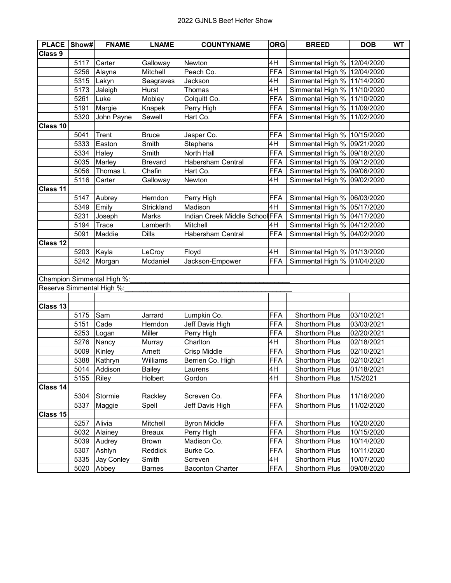| <b>PLACE</b>       | Show# | <b>FNAME</b>               | <b>LNAME</b>   | <b>COUNTYNAME</b>              | <b>ORG</b> | <b>BREED</b>     | <b>DOB</b> | <b>WT</b> |
|--------------------|-------|----------------------------|----------------|--------------------------------|------------|------------------|------------|-----------|
| Class <sub>9</sub> |       |                            |                |                                |            |                  |            |           |
|                    | 5117  | Carter                     | Galloway       | Newton                         | 4H         | Simmental High % | 12/04/2020 |           |
|                    | 5256  | Alayna                     | Mitchell       | Peach Co.                      | <b>FFA</b> | Simmental High % | 12/04/2020 |           |
|                    | 5315  | Lakyn                      | Seagraves      | Jackson                        | 4H         | Simmental High % | 11/14/2020 |           |
|                    | 5173  | Jaleigh                    | Hurst          | Thomas                         | 4H         | Simmental High % | 11/10/2020 |           |
|                    | 5261  | Luke                       | Mobley         | Colquitt Co.                   | <b>FFA</b> | Simmental High % | 11/10/2020 |           |
|                    | 5191  | Margie                     | Knapek         | Perry High                     | <b>FFA</b> | Simmental High % | 11/09/2020 |           |
|                    | 5320  | John Payne                 | Sewell         | Hart Co.                       | <b>FFA</b> | Simmental High % | 11/02/2020 |           |
| Class 10           |       |                            |                |                                |            |                  |            |           |
|                    | 5041  | Trent                      | <b>Bruce</b>   | Jasper Co.                     | <b>FFA</b> | Simmental High % | 10/15/2020 |           |
|                    | 5333  | Easton                     | Smith          | Stephens                       | 4H         | Simmental High % | 09/21/2020 |           |
|                    | 5334  | Haley                      | Smith          | North Hall                     | <b>FFA</b> | Simmental High % | 09/18/2020 |           |
|                    | 5035  | Marley                     | <b>Brevard</b> | Habersham Central              | <b>FFA</b> | Simmental High % | 09/12/2020 |           |
|                    | 5056  | Thomas L                   | Chafin         | Hart Co.                       | <b>FFA</b> | Simmental High % | 09/06/2020 |           |
|                    | 5116  | Carter                     | Galloway       | Newton                         | 4H         | Simmental High % | 09/02/2020 |           |
| Class 11           |       |                            |                |                                |            |                  |            |           |
|                    | 5147  | Aubrey                     | Herndon        | Perry High                     | FFA        | Simmental High % | 06/03/2020 |           |
|                    | 5349  | Emily                      | Strickland     | Madison                        | 4H         | Simmental High % | 05/17/2020 |           |
|                    | 5231  | Joseph                     | Marks          | Indian Creek Middle School FFA |            | Simmental High % | 04/17/2020 |           |
|                    | 5194  | Trace                      | Lamberth       | Mitchell                       | 4H         | Simmental High % | 04/12/2020 |           |
|                    | 5091  | Maddie                     | Dills          | <b>Habersham Central</b>       | <b>FFA</b> | Simmental High % | 04/02/2020 |           |
| Class 12           |       |                            |                |                                |            |                  |            |           |
|                    | 5203  | Kayla                      | LeCroy         | Floyd                          | 4H         | Simmental High % | 01/13/2020 |           |
|                    | 5242  | Morgan                     | Mcdaniel       | Jackson-Empower                | <b>FFA</b> | Simmental High % | 01/04/2020 |           |
|                    |       |                            |                |                                |            |                  |            |           |
|                    |       | Champion Simmental High %: |                |                                |            |                  |            |           |
|                    |       | Reserve Simmental High %:  |                |                                |            |                  |            |           |
|                    |       |                            |                |                                |            |                  |            |           |
| Class 13           |       |                            |                |                                |            |                  |            |           |
|                    | 5175  | Sam                        | Jarrard        | Lumpkin Co.                    | <b>FFA</b> | Shorthorn Plus   | 03/10/2021 |           |
|                    | 5151  | Cade                       | Herndon        | Jeff Davis High                | <b>FFA</b> | Shorthorn Plus   | 03/03/2021 |           |
|                    | 5253  | Logan                      | Miller         | Perry High                     | <b>FFA</b> | Shorthorn Plus   | 02/20/2021 |           |
|                    | 5276  | Nancy                      | Murray         | Charlton                       | 4H         | Shorthorn Plus   | 02/18/2021 |           |
|                    | 5009  | Kinley                     | Arnett         | Crisp Middle                   | <b>FFA</b> | Shorthorn Plus   | 02/10/2021 |           |
|                    | 5388  | Kathryn                    | Williams       | Berrien Co. High               | <b>FFA</b> | Shorthorn Plus   | 02/10/2021 |           |
|                    |       | 5014 Addison               | Bailey         | Laurens                        | 4H         | Shorthorn Plus   | 01/18/2021 |           |
|                    | 5155  | Riley                      | Holbert        | Gordon                         | 4H         | Shorthorn Plus   | 1/5/2021   |           |
| Class 14           |       |                            |                |                                |            |                  |            |           |
|                    | 5304  | Stormie                    | Rackley        | Screven Co.                    | <b>FFA</b> | Shorthorn Plus   | 11/16/2020 |           |
|                    | 5337  | Maggie                     | Spell          | Jeff Davis High                | <b>FFA</b> | Shorthorn Plus   | 11/02/2020 |           |
| Class 15           |       |                            |                |                                |            |                  |            |           |
|                    | 5257  | Alivia                     | Mitchell       | <b>Byron Middle</b>            | <b>FFA</b> | Shorthorn Plus   | 10/20/2020 |           |
|                    | 5032  | Alainey                    | <b>Breaux</b>  | Perry High                     | <b>FFA</b> | Shorthorn Plus   | 10/15/2020 |           |
|                    | 5039  | Audrey                     | Brown          | Madison Co.                    | <b>FFA</b> | Shorthorn Plus   | 10/14/2020 |           |
|                    | 5307  | Ashlyn                     | Reddick        | Burke Co.                      | <b>FFA</b> | Shorthorn Plus   | 10/11/2020 |           |
|                    | 5335  | Jay Conley                 | Smith          | Screven                        | 4H         | Shorthorn Plus   | 10/07/2020 |           |
|                    | 5020  | Abbey                      | <b>Barnes</b>  | <b>Baconton Charter</b>        | <b>FFA</b> | Shorthorn Plus   | 09/08/2020 |           |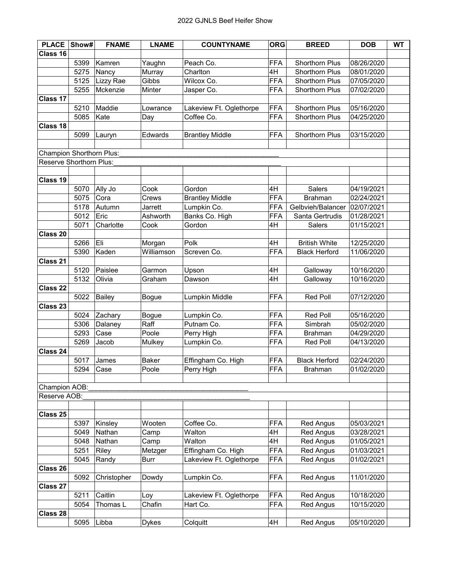| <b>PLACE</b>             | Show# | <b>FNAME</b> | <b>LNAME</b> | <b>COUNTYNAME</b>                | <b>ORG</b> | <b>BREED</b>         | <b>DOB</b> | <b>WT</b> |
|--------------------------|-------|--------------|--------------|----------------------------------|------------|----------------------|------------|-----------|
| Class 16                 |       |              |              |                                  |            |                      |            |           |
|                          | 5399  | Kamren       | Yaughn       | Peach Co.                        | <b>FFA</b> | Shorthorn Plus       | 08/26/2020 |           |
|                          | 5275  | Nancy        | Murray       | Charlton                         | 4H         | Shorthorn Plus       | 08/01/2020 |           |
|                          | 5125  | Lizzy Rae    | Gibbs        | Wilcox Co.                       | <b>FFA</b> | Shorthorn Plus       | 07/05/2020 |           |
|                          | 5255  | Mckenzie     | Minter       | Jasper Co.                       | <b>FFA</b> | Shorthorn Plus       | 07/02/2020 |           |
| Class 17                 |       |              |              |                                  |            |                      |            |           |
|                          | 5210  | Maddie       | Lowrance     | Lakeview Ft. Oglethorpe          | <b>FFA</b> | Shorthorn Plus       | 05/16/2020 |           |
|                          | 5085  | Kate         | Day          | Coffee Co.                       | <b>FFA</b> | Shorthorn Plus       | 04/25/2020 |           |
| Class 18                 |       |              |              |                                  |            |                      |            |           |
|                          | 5099  | Lauryn       | Edwards      | <b>Brantley Middle</b>           | <b>FFA</b> | Shorthorn Plus       | 03/15/2020 |           |
|                          |       |              |              |                                  |            |                      |            |           |
| Champion Shorthorn Plus: |       |              |              |                                  |            |                      |            |           |
| Reserve Shorthorn Plus:  |       |              |              |                                  |            |                      |            |           |
|                          |       |              |              |                                  |            |                      |            |           |
| Class 19                 |       |              |              |                                  |            |                      |            |           |
|                          | 5070  | Ally Jo      |              |                                  | 4H         | Salers               | 04/19/2021 |           |
|                          | 5075  | Cora         | Cook         | Gordon<br><b>Brantley Middle</b> | <b>FFA</b> | <b>Brahman</b>       | 02/24/2021 |           |
|                          |       |              | Crews        |                                  |            |                      |            |           |
|                          | 5178  | Autumn       | Jarrett      | Lumpkin Co.                      | <b>FFA</b> | Gelbvieh/Balancer    | 02/07/2021 |           |
|                          | 5012  | Eric         | Ashworth     | Banks Co. High                   | <b>FFA</b> | Santa Gertrudis      | 01/28/2021 |           |
|                          | 5071  | Charlotte    | Cook         | Gordon                           | 4H         | Salers               | 01/15/2021 |           |
| Class 20                 |       |              |              |                                  |            |                      |            |           |
|                          | 5266  | Eli          | Morgan       | Polk                             | 4H         | <b>British White</b> | 12/25/2020 |           |
|                          | 5390  | Kaden        | Williamson   | Screven Co.                      | <b>FFA</b> | <b>Black Herford</b> | 11/06/2020 |           |
| Class 21                 |       |              |              |                                  |            |                      |            |           |
|                          | 5120  | Paislee      | Garmon       | Upson                            | 4H         | Galloway             | 10/16/2020 |           |
|                          | 5132  | Olivia       | Graham       | Dawson                           | 4H         | Galloway             | 10/16/2020 |           |
| Class 22                 |       |              |              |                                  |            |                      |            |           |
|                          | 5022  | Bailey       | <b>Bogue</b> | Lumpkin Middle                   | <b>FFA</b> | <b>Red Poll</b>      | 07/12/2020 |           |
| Class 23                 |       |              |              |                                  |            |                      |            |           |
|                          | 5024  | Zachary      | Bogue        | Lumpkin Co.                      | <b>FFA</b> | <b>Red Poll</b>      | 05/16/2020 |           |
|                          | 5306  | Dalaney      | Raff         | Putnam Co.                       | <b>FFA</b> | Simbrah              | 05/02/2020 |           |
|                          | 5293  | Case         | Poole        | Perry High                       | <b>FFA</b> | <b>Brahman</b>       | 04/29/2020 |           |
|                          | 5269  | Jacob        | Mulkey       | Lumpkin Co.                      | <b>FFA</b> | Red Poll             | 04/13/2020 |           |
| Class 24                 |       |              |              |                                  |            |                      |            |           |
|                          | 5017  | James        | <b>Baker</b> | Effingham Co. High               | <b>FFA</b> | <b>Black Herford</b> | 02/24/2020 |           |
|                          | 5294  | Case         | Poole        | Perry High                       | <b>FFA</b> | <b>Brahman</b>       | 01/02/2020 |           |
|                          |       |              |              |                                  |            |                      |            |           |
| Champion AOB:            |       |              |              |                                  |            |                      |            |           |
| Reserve AOB:             |       |              |              |                                  |            |                      |            |           |
|                          |       |              |              |                                  |            |                      |            |           |
| Class 25                 |       |              |              |                                  |            |                      |            |           |
|                          | 5397  | Kinsley      | Wooten       | Coffee Co.                       | <b>FFA</b> | Red Angus            | 05/03/2021 |           |
|                          | 5049  | Nathan       | Camp         | Walton                           | 4H         | Red Angus            | 03/28/2021 |           |
|                          | 5048  | Nathan       | Camp         | Walton                           | 4H         | Red Angus            | 01/05/2021 |           |
|                          | 5251  | Riley        | Metzger      | Effingham Co. High               | <b>FFA</b> | Red Angus            | 01/03/2021 |           |
|                          | 5045  | Randy        | <b>Burr</b>  | Lakeview Ft. Oglethorpe          | <b>FFA</b> | Red Angus            | 01/02/2021 |           |
| Class 26                 |       |              |              |                                  |            |                      |            |           |
|                          | 5092  | Christopher  | Dowdy        | Lumpkin Co.                      | <b>FFA</b> | Red Angus            | 11/01/2020 |           |
| Class 27                 |       |              |              |                                  |            |                      |            |           |
|                          | 5211  | Caitlin      | Loy          | Lakeview Ft. Oglethorpe          | <b>FFA</b> | Red Angus            | 10/18/2020 |           |
|                          | 5054  | Thomas L     | Chafin       | Hart Co.                         | <b>FFA</b> | Red Angus            | 10/15/2020 |           |
| <b>Class 28</b>          |       |              |              |                                  |            |                      |            |           |
|                          | 5095  | Libba        | <b>Dykes</b> | Colquitt                         | 4H         | Red Angus            | 05/10/2020 |           |
|                          |       |              |              |                                  |            |                      |            |           |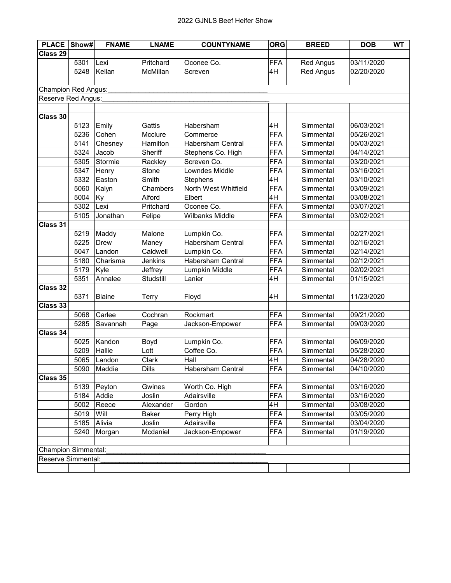| <b>PLACE</b>               | Show# | <b>FNAME</b>  | <b>LNAME</b> | <b>COUNTYNAME</b>        | <b>ORG</b> | <b>BREED</b>     | <b>DOB</b> | <b>WT</b> |
|----------------------------|-------|---------------|--------------|--------------------------|------------|------------------|------------|-----------|
| Class 29                   |       |               |              |                          |            |                  |            |           |
|                            | 5301  | Lexi          | Pritchard    | Oconee Co.               | <b>FFA</b> | <b>Red Angus</b> | 03/11/2020 |           |
|                            | 5248  | Kellan        | McMillan     | Screven                  | 4H         | <b>Red Angus</b> | 02/20/2020 |           |
|                            |       |               |              |                          |            |                  |            |           |
| <b>Champion Red Angus:</b> |       |               |              |                          |            |                  |            |           |
| Reserve Red Angus:         |       |               |              |                          |            |                  |            |           |
|                            |       |               |              |                          |            |                  |            |           |
| Class 30                   |       |               |              |                          |            |                  |            |           |
|                            | 5123  | Emily         | Gattis       | Habersham                | 4H         | Simmental        | 06/03/2021 |           |
|                            | 5236  | Cohen         | Mcclure      | Commerce                 | <b>FFA</b> | Simmental        | 05/26/2021 |           |
|                            | 5141  | Chesney       | Hamilton     | <b>Habersham Central</b> | <b>FFA</b> | Simmental        | 05/03/2021 |           |
|                            | 5324  | Jacob         | Sheriff      | Stephens Co. High        | <b>FFA</b> | Simmental        | 04/14/2021 |           |
|                            | 5305  | Stormie       | Rackley      | Screven Co.              | <b>FFA</b> | Simmental        | 03/20/2021 |           |
|                            | 5347  | Henry         | Stone        | Lowndes Middle           | <b>FFA</b> | Simmental        | 03/16/2021 |           |
|                            | 5332  | Easton        | Smith        | Stephens                 | 4H         | Simmental        | 03/10/2021 |           |
|                            | 5060  | Kalyn         | Chambers     | North West Whitfield     | <b>FFA</b> | Simmental        | 03/09/2021 |           |
|                            | 5004  | Ky            | Alford       | Elbert                   | 4H         | Simmental        | 03/08/2021 |           |
|                            | 5302  | Lexi          | Pritchard    | Oconee Co.               | <b>FFA</b> | Simmental        | 03/07/2021 |           |
|                            | 5105  | Jonathan      | Felipe       | <b>Wilbanks Middle</b>   | <b>FFA</b> | Simmental        | 03/02/2021 |           |
| Class 31                   |       |               |              |                          |            |                  |            |           |
|                            | 5219  | Maddy         | Malone       | Lumpkin Co.              | <b>FFA</b> | Simmental        | 02/27/2021 |           |
|                            | 5225  | <b>Drew</b>   | Maney        | Habersham Central        | <b>FFA</b> | Simmental        | 02/16/2021 |           |
|                            | 5047  | Landon        | Caldwell     | Lumpkin Co.              | <b>FFA</b> | Simmental        | 02/14/2021 |           |
|                            | 5180  | Charisma      | Jenkins      | <b>Habersham Central</b> | <b>FFA</b> | Simmental        | 02/12/2021 |           |
|                            | 5179  | Kyle          | Jeffrey      | Lumpkin Middle           | <b>FFA</b> | Simmental        | 02/02/2021 |           |
|                            | 5351  | Annalee       | Studstill    | Lanier                   | 4H         | Simmental        | 01/15/2021 |           |
| Class 32                   |       |               |              |                          |            |                  |            |           |
|                            | 5371  | <b>Blaine</b> | Terry        | Floyd                    | 4H         | Simmental        | 11/23/2020 |           |
| Class 33                   |       |               |              |                          |            |                  |            |           |
|                            | 5068  | Carlee        | Cochran      | Rockmart                 | <b>FFA</b> | Simmental        | 09/21/2020 |           |
|                            | 5285  | Savannah      | Page         | Jackson-Empower          | <b>FFA</b> | Simmental        | 09/03/2020 |           |
| Class 34                   |       |               |              |                          |            |                  |            |           |
|                            | 5025  | Kandon        | Boyd         | Lumpkin Co.              | <b>FFA</b> | Simmental        | 06/09/2020 |           |
|                            | 5209  | Hallie        | Lott         | Coffee Co.               | <b>FFA</b> | Simmental        | 05/28/2020 |           |
|                            | 5065  | Landon        | Clark        | Hall                     | 4H         | Simmental        | 04/28/2020 |           |
|                            |       | 5090 Maddie   | <b>Dills</b> | Habersham Central        | <b>FFA</b> | Simmental        | 04/10/2020 |           |
| Class 35                   |       |               |              |                          |            |                  |            |           |
|                            | 5139  | Peyton        | Gwines       | Worth Co. High           | <b>FFA</b> | Simmental        | 03/16/2020 |           |
|                            | 5184  | Addie         | Joslin       | Adairsville              | <b>FFA</b> | Simmental        | 03/16/2020 |           |
|                            | 5002  | Reece         | Alexander    | Gordon                   | 4H         | Simmental        | 03/08/2020 |           |
|                            | 5019  | Will          | Baker        | Perry High               | <b>FFA</b> | Simmental        | 03/05/2020 |           |
|                            | 5185  | Alivia        | Joslin       | Adairsville              | <b>FFA</b> | Simmental        | 03/04/2020 |           |
|                            | 5240  | Morgan        | Mcdaniel     | Jackson-Empower          | <b>FFA</b> | Simmental        | 01/19/2020 |           |
|                            |       |               |              |                          |            |                  |            |           |
| <b>Champion Simmental:</b> |       |               |              |                          |            |                  |            |           |
| Reserve Simmental:         |       |               |              |                          |            |                  |            |           |
|                            |       |               |              |                          |            |                  |            |           |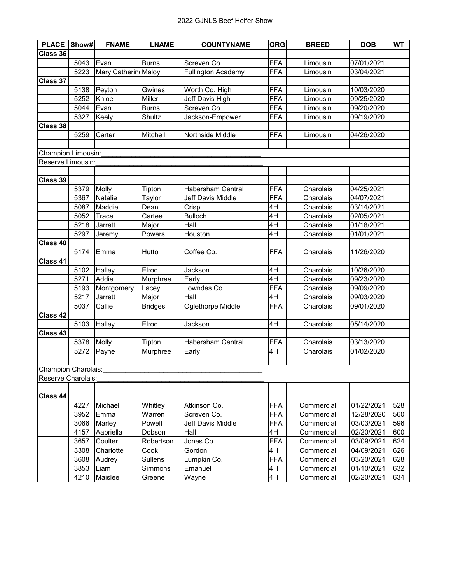| <b>PLACE</b>        | Show# | <b>FNAME</b>         | <b>LNAME</b>   | <b>COUNTYNAME</b>        | <b>ORG</b> | <b>BREED</b> | <b>DOB</b> | <b>WT</b> |
|---------------------|-------|----------------------|----------------|--------------------------|------------|--------------|------------|-----------|
| Class 36            |       |                      |                |                          |            |              |            |           |
|                     | 5043  | Evan                 | <b>Burns</b>   | Screven Co.              | <b>FFA</b> | Limousin     | 07/01/2021 |           |
|                     | 5223  | Mary Catherine Maloy |                | Fullington Academy       | <b>FFA</b> | Limousin     | 03/04/2021 |           |
| <b>Class 37</b>     |       |                      |                |                          |            |              |            |           |
|                     | 5138  | Peyton               | Gwines         | Worth Co. High           | <b>FFA</b> | Limousin     | 10/03/2020 |           |
|                     | 5252  | Khloe                | Miller         | Jeff Davis High          | <b>FFA</b> | Limousin     | 09/25/2020 |           |
|                     | 5044  | Evan                 | <b>Burns</b>   | Screven Co.              | <b>FFA</b> | Limousin     | 09/20/2020 |           |
|                     | 5327  | Keely                | Shultz         | Jackson-Empower          | <b>FFA</b> | Limousin     | 09/19/2020 |           |
| Class 38            |       |                      |                |                          |            |              |            |           |
|                     | 5259  | Carter               | Mitchell       | Northside Middle         | <b>FFA</b> | Limousin     | 04/26/2020 |           |
|                     |       |                      |                |                          |            |              |            |           |
| Champion Limousin:  |       |                      |                |                          |            |              |            |           |
| Reserve Limousin:   |       |                      |                |                          |            |              |            |           |
|                     |       |                      |                |                          |            |              |            |           |
| Class 39            |       |                      |                |                          |            |              |            |           |
|                     | 5379  | Molly                | Tipton         | <b>Habersham Central</b> | <b>FFA</b> | Charolais    | 04/25/2021 |           |
|                     | 5367  | Natalie              | Taylor         | Jeff Davis Middle        | <b>FFA</b> | Charolais    | 04/07/2021 |           |
|                     | 5087  | Maddie               | Dean           | Crisp                    | 4H         | Charolais    | 03/14/2021 |           |
|                     | 5052  | Trace                | Cartee         | <b>Bulloch</b>           | 4H         | Charolais    | 02/05/2021 |           |
|                     | 5218  | Jarrett              | Major          | Hall                     | 4H         | Charolais    | 01/18/2021 |           |
|                     | 5297  | Jeremy               | Powers         | Houston                  | 4H         | Charolais    | 01/01/2021 |           |
| Class 40            |       |                      |                |                          |            |              |            |           |
|                     | 5174  | Emma                 | Hutto          | Coffee Co.               | <b>FFA</b> | Charolais    | 11/26/2020 |           |
| Class 41            |       |                      |                |                          |            |              |            |           |
|                     | 5102  | Halley               | Elrod          | Jackson                  | 4H         | Charolais    | 10/26/2020 |           |
|                     | 5271  | Addie                | Murphree       | Early                    | 4H         | Charolais    | 09/23/2020 |           |
|                     | 5193  | Montgomery           | Lacey          | Lowndes Co.              | <b>FFA</b> | Charolais    | 09/09/2020 |           |
|                     | 5217  | Jarrett              | Major          | Hall                     | 4H         | Charolais    | 09/03/2020 |           |
|                     | 5037  | Callie               | <b>Bridges</b> | Oglethorpe Middle        | <b>FFA</b> | Charolais    | 09/01/2020 |           |
| Class 42            |       |                      |                |                          |            |              |            |           |
|                     | 5103  | Halley               | Elrod          | Jackson                  | 4H         | Charolais    | 05/14/2020 |           |
| Class 43            |       |                      |                |                          |            |              |            |           |
|                     | 5378  | Molly                | Tipton         | Habersham Central        | <b>FFA</b> | Charolais    | 03/13/2020 |           |
|                     | 5272  | Payne                | Murphree       | Early                    | 4H         | Charolais    | 01/02/2020 |           |
|                     |       |                      |                |                          |            |              |            |           |
| Champion Charolais: |       |                      |                |                          |            |              |            |           |
| Reserve Charolais:  |       |                      |                |                          |            |              |            |           |
|                     |       |                      |                |                          |            |              |            |           |
| Class 44            |       |                      |                |                          |            |              |            |           |
|                     | 4227  | Michael              | Whitley        | Atkinson Co.             | <b>FFA</b> | Commercial   | 01/22/2021 | 528       |
|                     | 3952  | Emma                 | Warren         | Screven Co.              | <b>FFA</b> | Commercial   | 12/28/2020 | 560       |
|                     | 3066  | Marley               | Powell         | Jeff Davis Middle        | <b>FFA</b> | Commercial   | 03/03/2021 | 596       |
|                     | 4157  | Aabriella            | Dobson         | Hall                     | 4H         | Commercial   | 02/20/2021 | 600       |
|                     | 3657  | Coulter              | Robertson      | Jones Co.                | <b>FFA</b> | Commercial   | 03/09/2021 | 624       |
|                     | 3308  | Charlotte            | Cook           | Gordon                   | 4H         | Commercial   | 04/09/2021 | 626       |
|                     | 3608  | Audrey               | Sullens        | Lumpkin Co.              | <b>FFA</b> | Commercial   | 03/20/2021 | 628       |
|                     | 3853  |                      |                | Emanuel                  | 4H         | Commercial   | 01/10/2021 | 632       |
|                     |       | Liam                 | Simmons        |                          |            |              |            |           |
|                     | 4210  | Maislee              | Greene         | Wayne                    | 4H         | Commercial   | 02/20/2021 | 634       |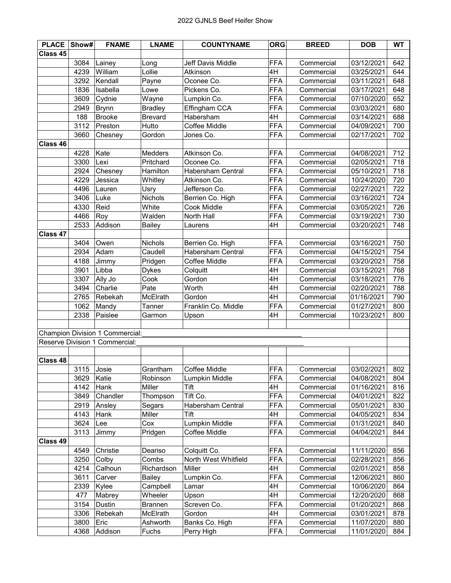| <b>PLACE</b> | Show# | <b>FNAME</b>                    | <b>LNAME</b>   | <b>COUNTYNAME</b>        | <b>ORG</b> | <b>BREED</b> | <b>DOB</b> | <b>WT</b> |
|--------------|-------|---------------------------------|----------------|--------------------------|------------|--------------|------------|-----------|
| Class 45     |       |                                 |                |                          |            |              |            |           |
|              | 3084  | Lainey                          | Long           | Jeff Davis Middle        | FFA        | Commercial   | 03/12/2021 | 642       |
|              | 4239  | William                         | Lollie         | Atkinson                 | 4H         | Commercial   | 03/25/2021 | 644       |
|              | 3292  | Kendall                         | Payne          | Oconee Co.               | <b>FFA</b> | Commercial   | 03/11/2021 | 648       |
|              | 1836  | Isabella                        | Lowe           | Pickens Co.              | FFA        | Commercial   | 03/17/2021 | 648       |
|              | 3609  | Cydnie                          | Wayne          | Lumpkin Co.              | <b>FFA</b> | Commercial   | 07/10/2020 | 652       |
|              | 2949  | Brynn                           | <b>Bradley</b> | Effingham CCA            | <b>FFA</b> | Commercial   | 03/03/2021 | 680       |
|              | 188   | Brooke                          | <b>Brevard</b> | Habersham                | 4H         | Commercial   | 03/14/2021 | 688       |
|              | 3112  | Preston                         | Hutto          | Coffee Middle            | <b>FFA</b> | Commercial   | 04/09/2021 | 700       |
|              | 3660  | Chesney                         | Gordon         | Jones Co.                | FFA        | Commercial   | 02/17/2021 | 702       |
| Class 46     |       |                                 |                |                          |            |              |            |           |
|              | 4228  | Kate                            | Medders        | Atkinson Co.             | <b>FFA</b> | Commercial   | 04/08/2021 | 712       |
|              | 3300  | Lexi                            | Pritchard      | Oconee Co.               | <b>FFA</b> | Commercial   | 02/05/2021 | 718       |
|              | 2924  | Chesney                         | Hamilton       | <b>Habersham Central</b> | <b>FFA</b> | Commercial   | 05/10/2021 | 718       |
|              | 4229  | Jessica                         | Whitley        | Atkinson Co.             | <b>FFA</b> | Commercial   | 10/24/2020 | 720       |
|              | 4496  | Lauren                          | Usry           | Jefferson Co.            | <b>FFA</b> | Commercial   | 02/27/2021 | 722       |
|              | 3406  | Luke                            | <b>Nichols</b> | Berrien Co. High         | <b>FFA</b> | Commercial   | 03/16/2021 | 724       |
|              | 4330  | Reid                            | White          | Cook Middle              | <b>FFA</b> | Commercial   | 03/05/2021 | 726       |
|              | 4466  | Roy                             | Walden         | North Hall               | <b>FFA</b> | Commercial   | 03/19/2021 | 730       |
|              | 2533  | Addison                         | <b>Bailey</b>  | Laurens                  | 4H         | Commercial   | 03/20/2021 | 748       |
| Class 47     |       |                                 |                |                          |            |              |            |           |
|              | 3404  | Owen                            | <b>Nichols</b> | Berrien Co. High         | <b>FFA</b> | Commercial   | 03/16/2021 | 750       |
|              | 2934  | Adam                            | Caudell        | <b>Habersham Central</b> | <b>FFA</b> | Commercial   | 04/15/2021 | 754       |
|              | 4188  | Jimmy                           | Pridgen        | Coffee Middle            | <b>FFA</b> | Commercial   | 03/20/2021 | 758       |
|              | 3901  | Libba                           | <b>Dykes</b>   | Colquitt                 | 4H         | Commercial   | 03/15/2021 | 768       |
|              | 3307  | Ally Jo                         | Cook           | Gordon                   | 4H         | Commercial   | 03/18/2021 | 776       |
|              | 3494  | Charlie                         | Pate           | Worth                    | 4H         | Commercial   | 02/20/2021 | 788       |
|              | 2765  | Rebekah                         | McElrath       | Gordon                   | 4H         | Commercial   | 01/16/2021 | 790       |
|              | 1062  | Mandy                           | Tanner         | Franklin Co. Middle      | <b>FFA</b> | Commercial   | 01/27/2021 | 800       |
|              | 2338  | Paislee                         | Garmon         | Upson                    | 4H         | Commercial   | 10/23/2021 | 800       |
|              |       |                                 |                |                          |            |              |            |           |
|              |       | Champion Division 1 Commercial: |                |                          |            |              |            |           |
|              |       | Reserve Division 1 Commercial:  |                |                          |            |              |            |           |
|              |       |                                 |                |                          |            |              |            |           |
| Class 48     |       |                                 |                |                          |            |              |            |           |
|              | 3115  | Josie                           | Grantham       | Coffee Middle            | <b>FFA</b> | Commercial   | 03/02/2021 | 802       |
|              | 3629  | Katie                           | Robinson       | Lumpkin Middle           | <b>FFA</b> | Commercial   | 04/08/2021 | 804       |
|              | 4142  | Hank                            | Miller         | Tift                     | 4H         | Commercial   | 01/16/2021 | 816       |
|              | 3849  | Chandler                        | Thompson       | Tift Co.                 | <b>FFA</b> | Commercial   | 04/01/2021 | 822       |
|              | 2919  | Ansley                          | Segars         | Habersham Central        | <b>FFA</b> | Commercial   | 05/01/2021 | 830       |
|              | 4143  | Hank                            | Miller         | Tift                     | 4H         | Commercial   | 04/05/2021 | 834       |
|              | 3624  | Lee                             | Cox            | Lumpkin Middle           | <b>FFA</b> | Commercial   | 01/31/2021 | 840       |
|              | 3113  | Jimmy                           | Pridgen        | Coffee Middle            | <b>FFA</b> | Commercial   | 04/04/2021 | 844       |
| Class 49     |       |                                 |                |                          |            |              |            |           |
|              | 4549  | Christie                        | Deariso        | Colquitt Co.             | <b>FFA</b> | Commercial   | 11/11/2020 | 856       |
|              | 3250  | Colby                           | Combs          | North West Whitfield     | <b>FFA</b> | Commercial   | 02/28/2021 | 856       |
|              | 4214  | Calhoun                         | Richardson     | Miller                   | 4H         | Commercial   | 02/01/2021 | 858       |
|              | 3611  | Carver                          | <b>Bailey</b>  | Lumpkin Co.              | <b>FFA</b> | Commercial   | 12/06/2021 | 860       |
|              | 2339  | Kylee                           | Campbell       | Lamar                    | 4H         | Commercial   | 10/06/2020 | 864       |
|              | 477   | Mabrey                          | Wheeler        | Upson                    | 4H         | Commercial   | 12/20/2020 | 868       |
|              | 3154  | Dustin                          | <b>Brannen</b> | Screven Co.              | <b>FFA</b> | Commercial   | 01/20/2021 | 868       |
|              | 3306  | Rebekah                         | McElrath       | Gordon                   | 4H         | Commercial   | 03/01/2021 | 878       |
|              | 3800  | Eric                            | Ashworth       | Banks Co. High           | <b>FFA</b> | Commercial   | 11/07/2020 | 880       |
|              | 4368  | Addison                         | Fuchs          | Perry High               | <b>FFA</b> | Commercial   | 11/01/2020 | 884       |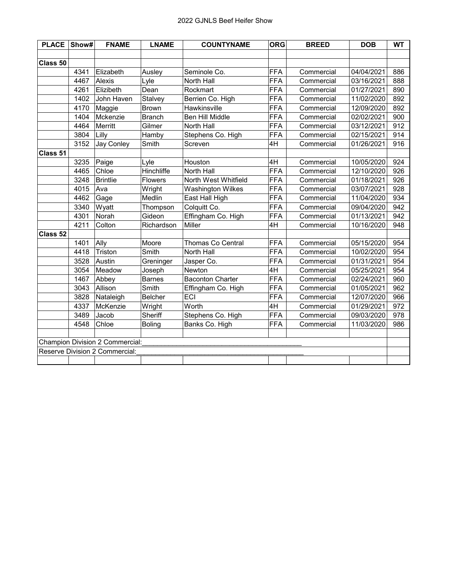| Show# | <b>FNAME</b>      | <b>LNAME</b>                   | <b>COUNTYNAME</b>               | <b>ORG</b> | <b>BREED</b> | <b>DOB</b> | <b>WT</b> |
|-------|-------------------|--------------------------------|---------------------------------|------------|--------------|------------|-----------|
|       |                   |                                |                                 |            |              |            |           |
|       |                   |                                |                                 |            |              |            |           |
| 4341  | Elizabeth         | Ausley                         | Seminole Co.                    | <b>FFA</b> | Commercial   | 04/04/2021 | 886       |
| 4467  | Alexis            | Lyle                           | North Hall                      | <b>FFA</b> | Commercial   | 03/16/2021 | 888       |
| 4261  | Elizibeth         | Dean                           | Rockmart                        | <b>FFA</b> | Commercial   | 01/27/2021 | 890       |
| 1402  | John Haven        | Stalvey                        | Berrien Co. High                | <b>FFA</b> | Commercial   | 11/02/2020 | 892       |
| 4170  | Maggie            | <b>Brown</b>                   | Hawkinsville                    | <b>FFA</b> | Commercial   | 12/09/2020 | 892       |
| 1404  | Mckenzie          | <b>Branch</b>                  | Ben Hill Middle                 | <b>FFA</b> | Commercial   | 02/02/2021 | 900       |
| 4464  | Merritt           | Gilmer                         | North Hall                      | <b>FFA</b> | Commercial   | 03/12/2021 | 912       |
| 3804  | Lilly             | Hamby                          | Stephens Co. High               | <b>FFA</b> | Commercial   | 02/15/2021 | 914       |
| 3152  | <b>Jay Conley</b> | Smith                          | Screven                         | 4H         | Commercial   | 01/26/2021 | 916       |
|       |                   |                                |                                 |            |              |            |           |
| 3235  | Paige             | Lyle                           | Houston                         | 4H         | Commercial   | 10/05/2020 | 924       |
| 4465  | Chloe             | Hinchliffe                     | North Hall                      | <b>FFA</b> | Commercial   | 12/10/2020 | 926       |
| 3248  | <b>Brintlie</b>   | <b>Flowers</b>                 | North West Whitfield            | <b>FFA</b> | Commercial   | 01/18/2021 | 926       |
| 4015  | Ava               | Wright                         | <b>Washington Wilkes</b>        | <b>FFA</b> | Commercial   | 03/07/2021 | 928       |
| 4462  | Gage              | Medlin                         | East Hall High                  | <b>FFA</b> | Commercial   | 11/04/2020 | 934       |
| 3340  | Wyatt             | Thompson                       | Colquitt Co.                    | <b>FFA</b> | Commercial   | 09/04/2020 | 942       |
| 4301  | Norah             | Gideon                         | Effingham Co. High              | <b>FFA</b> | Commercial   | 01/13/2021 | 942       |
| 4211  | Colton            | Richardson                     | Miller                          | 4H         | Commercial   | 10/16/2020 | 948       |
|       |                   |                                |                                 |            |              |            |           |
| 1401  | Ally              | Moore                          | Thomas Co Central               | FFA        | Commercial   | 05/15/2020 | 954       |
| 4418  | Triston           | Smith                          | North Hall                      | <b>FFA</b> | Commercial   | 10/02/2020 | 954       |
| 3528  | Austin            | Greninger                      | Jasper Co.                      | <b>FFA</b> | Commercial   | 01/31/2021 | 954       |
| 3054  | Meadow            | Joseph                         | Newton                          | 4H         | Commercial   | 05/25/2021 | 954       |
| 1467  | Abbey             | <b>Barnes</b>                  | <b>Baconton Charter</b>         | <b>FFA</b> | Commercial   | 02/24/2021 | 960       |
| 3043  | Allison           | Smith                          | Effingham Co. High              | <b>FFA</b> | Commercial   | 01/05/2021 | 962       |
| 3828  | Nataleigh         | Belcher                        | ECI                             | <b>FFA</b> | Commercial   | 12/07/2020 | 966       |
| 4337  | McKenzie          | Wright                         | Worth                           | 4H         | Commercial   | 01/29/2021 | 972       |
| 3489  | Jacob             | Sheriff                        | Stephens Co. High               | <b>FFA</b> | Commercial   | 09/03/2020 | 978       |
| 4548  | Chloe             | <b>Boling</b>                  | Banks Co. High                  | <b>FFA</b> | Commercial   | 11/03/2020 | 986       |
|       |                   |                                |                                 |            |              |            |           |
|       |                   |                                |                                 |            |              |            |           |
|       |                   |                                |                                 |            |              |            |           |
|       |                   |                                |                                 |            |              |            |           |
|       |                   | Reserve Division 2 Commercial: | Champion Division 2 Commercial: |            |              |            |           |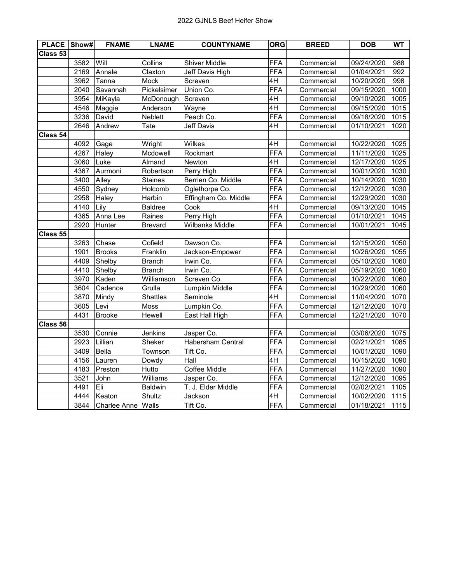| <b>PLACE</b> | Show# | <b>FNAME</b>        | <b>LNAME</b>   | <b>COUNTYNAME</b>    | <b>ORG</b> | <b>BREED</b> | <b>DOB</b> | <b>WT</b> |
|--------------|-------|---------------------|----------------|----------------------|------------|--------------|------------|-----------|
| Class 53     |       |                     |                |                      |            |              |            |           |
|              | 3582  | Will                | Collins        | <b>Shiver Middle</b> | <b>FFA</b> | Commercial   | 09/24/2020 | 988       |
|              | 2169  | Annale              | Claxton        | Jeff Davis High      | <b>FFA</b> | Commercial   | 01/04/2021 | 992       |
|              | 3962  | Tanna               | Mock           | Screven              | 4H         | Commercial   | 10/20/2020 | 998       |
|              | 2040  | Savannah            | Pickelsimer    | Union Co.            | <b>FFA</b> | Commercial   | 09/15/2020 | 1000      |
|              | 3954  | MiKayla             | McDonough      | Screven              | 4H         | Commercial   | 09/10/2020 | 1005      |
|              | 4546  | Maggie              | Anderson       | Wayne                | 4H         | Commercial   | 09/15/2020 | 1015      |
|              | 3236  | David               | Neblett        | Peach Co.            | <b>FFA</b> | Commercial   | 09/18/2020 | 1015      |
|              | 2646  | Andrew              | Tate           | Jeff Davis           | 4H         | Commercial   | 01/10/2021 | 1020      |
| Class 54     |       |                     |                |                      |            |              |            |           |
|              | 4092  | Gage                | Wright         | Wilkes               | 4H         | Commercial   | 10/22/2020 | 1025      |
|              | 4267  | Haley               | Mcdowell       | Rockmart             | <b>FFA</b> | Commercial   | 11/11/2020 | 1025      |
|              | 3060  | Luke                | Almand         | Newton               | 4H         | Commercial   | 12/17/2020 | 1025      |
|              | 4367  | Aurmoni             | Robertson      | Perry High           | <b>FFA</b> | Commercial   | 10/01/2020 | 1030      |
|              | 3400  | Alley               | <b>Staines</b> | Berrien Co. Middle   | <b>FFA</b> | Commercial   | 10/14/2020 | 1030      |
|              | 4550  | Sydney              | Holcomb        | Oglethorpe Co.       | <b>FFA</b> | Commercial   | 12/12/2020 | 1030      |
|              | 2958  | Haley               | Harbin         | Effingham Co. Middle | <b>FFA</b> | Commercial   | 12/29/2020 | 1030      |
|              | 4140  | Lily                | <b>Baldree</b> | Cook                 | 4H         | Commercial   | 09/13/2020 | 1045      |
|              | 4365  | Anna Lee            | Raines         | Perry High           | FFA        | Commercial   | 01/10/2021 | 1045      |
|              | 2920  | Hunter              | <b>Brevard</b> | Wilbanks Middle      | <b>FFA</b> | Commercial   | 10/01/2021 | 1045      |
| Class 55     |       |                     |                |                      |            |              |            |           |
|              | 3263  | Chase               | Cofield        | Dawson Co.           | <b>FFA</b> | Commercial   | 12/15/2020 | 1050      |
|              | 1901  | <b>Brooks</b>       | Franklin       | Jackson-Empower      | <b>FFA</b> | Commercial   | 10/26/2020 | 1055      |
|              | 4409  | Shelby              | <b>Branch</b>  | Irwin Co.            | <b>FFA</b> | Commercial   | 05/10/2020 | 1060      |
|              | 4410  | Shelby              | <b>Branch</b>  | Irwin Co.            | <b>FFA</b> | Commercial   | 05/19/2020 | 1060      |
|              | 3970  | Kaden               | Williamson     | Screven Co.          | <b>FFA</b> | Commercial   | 10/22/2020 | 1060      |
|              | 3604  | Cadence             | Grulla         | Lumpkin Middle       | <b>FFA</b> | Commercial   | 10/29/2020 | 1060      |
|              | 3870  | Mindy               | Shattles       | Seminole             | 4H         | Commercial   | 11/04/2020 | 1070      |
|              | 3605  | Levi                | Moss           | Lumpkin Co.          | <b>FFA</b> | Commercial   | 12/12/2020 | 1070      |
|              | 4431  | <b>Brooke</b>       | Hewell         | East Hall High       | <b>FFA</b> | Commercial   | 12/21/2020 | 1070      |
| Class 56     |       |                     |                |                      |            |              |            |           |
|              | 3530  | Connie              | Jenkins        | Jasper Co.           | <b>FFA</b> | Commercial   | 03/06/2020 | 1075      |
|              | 2923  | Lillian             | Sheker         | Habersham Central    | <b>FFA</b> | Commercial   | 02/21/2021 | 1085      |
|              | 3409  | Bella               | Townson        | Tift Co.             | <b>FFA</b> | Commercial   | 10/01/2020 | 1090      |
|              | 4156  | Lauren              | Dowdy          | Hall                 | 4H         | Commercial   | 10/15/2020 | 1090      |
|              | 4183  | Preston             | Hutto          | Coffee Middle        | <b>FFA</b> | Commercial   | 11/27/2020 | 1090      |
|              | 3521  | John                | Williams       | Jasper Co.           | <b>FFA</b> | Commercial   | 12/12/2020 | 1095      |
|              | 4491  | Eli                 | Baldwin        | T. J. Elder Middle   | <b>FFA</b> | Commercial   | 02/02/2021 | 1105      |
|              | 4444  | Keaton              | Shultz         | Jackson              | 4H         | Commercial   | 10/02/2020 | 1115      |
|              | 3844  | <b>Charlee Anne</b> | Walls          | Tift Co.             | <b>FFA</b> | Commercial   | 01/18/2021 | 1115      |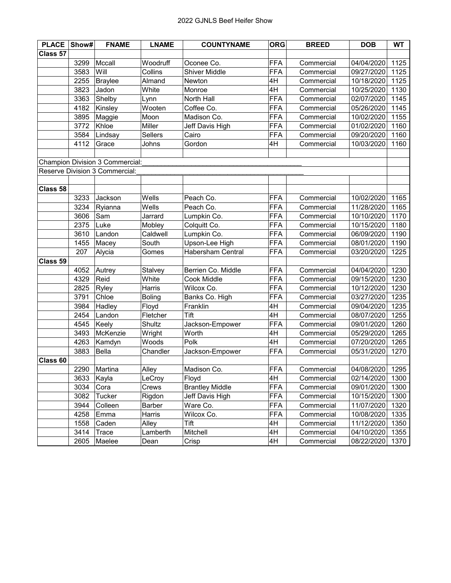| <b>PLACE</b> | Show# | <b>FNAME</b>                    | <b>LNAME</b>   | <b>COUNTYNAME</b>        | <b>ORG</b> | <b>BREED</b> | <b>DOB</b> | <b>WT</b> |
|--------------|-------|---------------------------------|----------------|--------------------------|------------|--------------|------------|-----------|
| Class 57     |       |                                 |                |                          |            |              |            |           |
|              | 3299  | Mccall                          | Woodruff       | Oconee Co.               | <b>FFA</b> | Commercial   | 04/04/2020 | 1125      |
|              | 3583  | Will                            | Collins        | <b>Shiver Middle</b>     | <b>FFA</b> | Commercial   | 09/27/2020 | 1125      |
|              | 2255  | Braylee                         | Almand         | Newton                   | 4H         | Commercial   | 10/18/2020 | 1125      |
|              | 3823  | Jadon                           | White          | Monroe                   | 4H         | Commercial   | 10/25/2020 | 1130      |
|              | 3363  | Shelby                          | Lynn           | North Hall               | <b>FFA</b> | Commercial   | 02/07/2020 | 1145      |
|              | 4182  | Kinsley                         | Wooten         | Coffee Co.               | <b>FFA</b> | Commercial   | 05/26/2020 | 1145      |
|              | 3895  | Maggie                          | Moon           | Madison Co.              | <b>FFA</b> | Commercial   | 10/02/2020 | 1155      |
|              | 3772  | Khloe                           | Miller         | Jeff Davis High          | <b>FFA</b> | Commercial   | 01/02/2020 | 1160      |
|              | 3584  | Lindsay                         | <b>Sellers</b> | Cairo                    | <b>FFA</b> | Commercial   | 09/20/2020 | 1160      |
|              | 4112  | Grace                           | Johns          | Gordon                   | 4H         | Commercial   | 10/03/2020 | 1160      |
|              |       |                                 |                |                          |            |              |            |           |
|              |       | Champion Division 3 Commercial: |                |                          |            |              |            |           |
|              |       | Reserve Division 3 Commercial:  |                |                          |            |              |            |           |
|              |       |                                 |                |                          |            |              |            |           |
| Class 58     |       |                                 |                |                          |            |              |            |           |
|              | 3233  | Jackson                         | Wells          | Peach Co.                | <b>FFA</b> | Commercial   | 10/02/2020 | 1165      |
|              | 3234  | Ryianna                         | Wells          | Peach Co.                | <b>FFA</b> | Commercial   | 11/28/2020 | 1165      |
|              | 3606  | Sam                             | Jarrard        | Lumpkin Co.              | <b>FFA</b> | Commercial   | 10/10/2020 | 1170      |
|              | 2375  | Luke                            | Mobley         | Colquitt Co.             | <b>FFA</b> | Commercial   | 10/15/2020 | 1180      |
|              | 3610  | Landon                          | Caldwell       | Lumpkin Co.              | <b>FFA</b> | Commercial   | 06/09/2020 | 1190      |
|              | 1455  | Macey                           | South          | Upson-Lee High           | <b>FFA</b> | Commercial   | 08/01/2020 | 1190      |
|              | 207   | Alycia                          | Gomes          | <b>Habersham Central</b> | <b>FFA</b> | Commercial   | 03/20/2020 | 1225      |
| Class 59     |       |                                 |                |                          |            |              |            |           |
|              | 4052  | Autrey                          | Stalvey        | Berrien Co. Middle       | <b>FFA</b> | Commercial   | 04/04/2020 | 1230      |
|              | 4329  | Reid                            | White          | Cook Middle              | <b>FFA</b> | Commercial   | 09/15/2020 | 1230      |
|              | 2825  | Ryley                           | Harris         | Wilcox Co.               | <b>FFA</b> | Commercial   | 10/12/2020 | 1230      |
|              | 3791  | Chloe                           | <b>Boling</b>  | Banks Co. High           | <b>FFA</b> | Commercial   | 03/27/2020 | 1235      |
|              | 3984  | Hadley                          | Floyd          | Franklin                 | 4H         | Commercial   | 09/04/2020 | 1235      |
|              | 2454  | Landon                          | Fletcher       | Tift                     | 4H         | Commercial   | 08/07/2020 | 1255      |
|              | 4545  | Keely                           | Shultz         | Jackson-Empower          | <b>FFA</b> | Commercial   | 09/01/2020 | 1260      |
|              | 3493  | McKenzie                        | Wright         | Worth                    | 4H         | Commercial   | 05/29/2020 | 1265      |
|              | 4263  | Kamdyn                          | Woods          | Polk                     | 4H         | Commercial   | 07/20/2020 | 1265      |
|              | 3883  | Bella                           | Chandler       | Jackson-Empower          | <b>FFA</b> | Commercial   | 05/31/2020 | 1270      |
| Class 60     |       |                                 |                |                          |            |              |            |           |
|              |       | 2290 Martina                    | Alley          | Madison Co.              | <b>FFA</b> | Commercial   | 04/08/2020 | 1295      |
|              | 3633  | Kayla                           | LeCroy         | Floyd                    | 4H         | Commercial   | 02/14/2020 | 1300      |
|              | 3034  | Cora                            | Crews          | <b>Brantley Middle</b>   | <b>FFA</b> | Commercial   | 09/01/2020 | 1300      |
|              | 3082  | Tucker                          | Rigdon         | Jeff Davis High          | <b>FFA</b> | Commercial   | 10/15/2020 | 1300      |
|              | 3944  | Colleen                         | Barber         | Ware Co.                 | <b>FFA</b> | Commercial   | 11/07/2020 | 1320      |
|              | 4258  | Emma                            | Harris         | Wilcox Co.               | <b>FFA</b> | Commercial   | 10/08/2020 | 1335      |
|              | 1558  | Caden                           | Alley          | Tift                     | 4H         | Commercial   | 11/12/2020 | 1350      |
|              | 3414  | <b>Trace</b>                    | Lamberth       | Mitchell                 | 4H         | Commercial   | 04/10/2020 | 1355      |
|              | 2605  | Maelee                          | Dean           | Crisp                    | 4H         | Commercial   | 08/22/2020 | 1370      |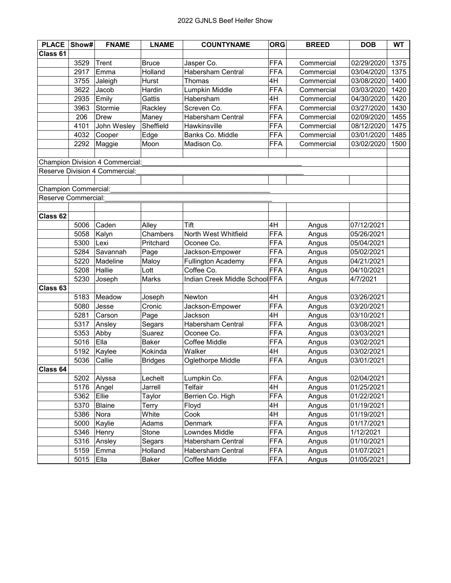| <b>PLACE</b>                | Show# | <b>FNAME</b>                    | <b>LNAME</b>   | <b>COUNTYNAME</b>              | <b>ORG</b> | <b>BREED</b> | <b>DOB</b> | <b>WT</b> |
|-----------------------------|-------|---------------------------------|----------------|--------------------------------|------------|--------------|------------|-----------|
| Class 61                    |       |                                 |                |                                |            |              |            |           |
|                             | 3529  | Trent                           | <b>Bruce</b>   | Jasper Co.                     | <b>FFA</b> | Commercial   | 02/29/2020 | 1375      |
|                             | 2917  | Emma                            | Holland        | Habersham Central              | <b>FFA</b> | Commercial   | 03/04/2020 | 1375      |
|                             | 3755  | Jaleigh                         | Hurst          | Thomas                         | 4H         | Commercial   | 03/08/2020 | 1400      |
|                             | 3622  | Jacob                           | Hardin         | Lumpkin Middle                 | <b>FFA</b> | Commercial   | 03/03/2020 | 1420      |
|                             | 2935  | Emily                           | Gattis         | Habersham                      | 4H         | Commercial   | 04/30/2020 | 1420      |
|                             | 3963  | Stormie                         | Rackley        | Screven Co.                    | <b>FFA</b> | Commercial   | 03/27/2020 | 1430      |
|                             | 206   | <b>Drew</b>                     | Maney          | Habersham Central              | <b>FFA</b> | Commercial   | 02/09/2020 | 1455      |
|                             | 4101  | John Wesley                     | Sheffield      | Hawkinsville                   | <b>FFA</b> | Commercial   | 08/12/2020 | 1475      |
|                             | 4032  | Cooper                          | Edge           | Banks Co. Middle               | <b>FFA</b> | Commercial   | 03/01/2020 | 1485      |
|                             | 2292  | Maggie                          | Moon           | Madison Co.                    | <b>FFA</b> | Commercial   | 03/02/2020 | 1500      |
|                             |       |                                 |                |                                |            |              |            |           |
|                             |       | Champion Division 4 Commercial: |                |                                |            |              |            |           |
|                             |       | Reserve Division 4 Commercial:  |                |                                |            |              |            |           |
|                             |       |                                 |                |                                |            |              |            |           |
| <b>Champion Commercial:</b> |       |                                 |                |                                |            |              |            |           |
| Reserve Commercial:         |       |                                 |                |                                |            |              |            |           |
|                             |       |                                 |                |                                |            |              |            |           |
| Class 62                    |       |                                 |                |                                |            |              |            |           |
|                             | 5006  | Caden                           | Alley          | Tift                           | 4H         | Angus        | 07/12/2021 |           |
|                             | 5058  | Kalyn                           | Chambers       | North West Whitfield           | <b>FFA</b> | Angus        | 05/26/2021 |           |
|                             | 5300  | Lexi                            | Pritchard      | Oconee Co.                     | <b>FFA</b> | Angus        | 05/04/2021 |           |
|                             | 5284  | Savannah                        | Page           | Jackson-Empower                | <b>FFA</b> | Angus        | 05/02/2021 |           |
|                             | 5220  | Madeline                        | Maloy          | Fullington Academy             | <b>FFA</b> | Angus        | 04/21/2021 |           |
|                             | 5208  | Hallie                          | Lott           | Coffee Co.                     | <b>FFA</b> | Angus        | 04/10/2021 |           |
|                             | 5230  | Joseph                          | Marks          | Indian Creek Middle School FFA |            | Angus        | 4/7/2021   |           |
| Class <sub>63</sub>         |       |                                 |                |                                |            |              |            |           |
|                             | 5183  | Meadow                          | Joseph         | Newton                         | 4H         | Angus        | 03/26/2021 |           |
|                             | 5080  | Jesse                           | Cronic         | Jackson-Empower                | <b>FFA</b> | Angus        | 03/20/2021 |           |
|                             | 5281  | Carson                          | Page           | Jackson                        | 4H         | Angus        | 03/10/2021 |           |
|                             | 5317  | Ansley                          | Segars         | Habersham Central              | <b>FFA</b> | Angus        | 03/08/2021 |           |
|                             | 5353  | Abby                            | Suarez         | Oconee Co.                     | <b>FFA</b> | Angus        | 03/03/2021 |           |
|                             | 5016  | Ella                            | <b>Baker</b>   | Coffee Middle                  | <b>FFA</b> | Angus        | 03/02/2021 |           |
|                             | 5192  | Kaylee                          | Kokinda        | Walker                         | 4H         | Angus        | 03/02/2021 |           |
|                             | 5036  | Callie                          | <b>Bridges</b> | Oglethorpe Middle              | <b>FFA</b> | Angus        | 03/01/2021 |           |
| Class 64                    |       |                                 |                |                                |            |              |            |           |
|                             | 5202  | Alyssa                          | Lechelt        | Lumpkin Co.                    | <b>FFA</b> | Angus        | 02/04/2021 |           |
|                             | 5176  | Angel                           | Jarrell        | <b>Telfair</b>                 | 4H         | Angus        | 01/25/2021 |           |
|                             | 5362  | Ellie                           | Taylor         | Berrien Co. High               | <b>FFA</b> | Angus        | 01/22/2021 |           |
|                             | 5370  | Blaine                          | Terry          | Floyd                          | 4H         | Angus        | 01/19/2021 |           |
|                             | 5386  | Nora                            | White          | Cook                           | 4H         | Angus        | 01/19/2021 |           |
|                             | 5000  | Kaylie                          | Adams          | Denmark                        | <b>FFA</b> | Angus        | 01/17/2021 |           |
|                             | 5346  | Henry                           | Stone          | Lowndes Middle                 | <b>FFA</b> | Angus        | 1/12/2021  |           |
|                             | 5316  | Ansley                          | Segars         | <b>Habersham Central</b>       | <b>FFA</b> | Angus        | 01/10/2021 |           |
|                             | 5159  | Emma                            | Holland        | <b>Habersham Central</b>       | <b>FFA</b> | Angus        | 01/07/2021 |           |
|                             | 5015  | Ella                            | Baker          | Coffee Middle                  | <b>FFA</b> | Angus        | 01/05/2021 |           |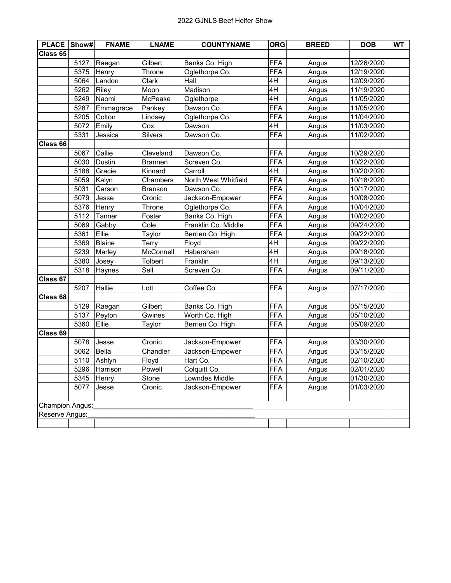| <b>PLACE</b>        | Show# | <b>FNAME</b>  | <b>LNAME</b>   | <b>COUNTYNAME</b>    | <b>ORG</b> | <b>BREED</b> | <b>DOB</b> | <b>WT</b> |
|---------------------|-------|---------------|----------------|----------------------|------------|--------------|------------|-----------|
| Class <sub>65</sub> |       |               |                |                      |            |              |            |           |
|                     | 5127  | Raegan        | Gilbert        | Banks Co. High       | <b>FFA</b> | Angus        | 12/26/2020 |           |
|                     | 5375  | Henry         | Throne         | Oglethorpe Co.       | <b>FFA</b> | Angus        | 12/19/2020 |           |
|                     | 5064  | Landon        | Clark          | Hall                 | 4H         | Angus        | 12/09/2020 |           |
|                     | 5262  | Riley         | Moon           | Madison              | 4H         | Angus        | 11/19/2020 |           |
|                     | 5249  | Naomi         | McPeake        | Oglethorpe           | 4H         | Angus        | 11/05/2020 |           |
|                     | 5287  | Emmagrace     | Pankey         | Dawson Co.           | <b>FFA</b> | Angus        | 11/05/2020 |           |
|                     | 5205  | Colton        | Lindsey        | Oglethorpe Co.       | <b>FFA</b> | Angus        | 11/04/2020 |           |
|                     | 5072  | Emily         | Cox            | Dawson               | 4H         | Angus        | 11/03/2020 |           |
|                     | 5331  | Jessica       | <b>Silvers</b> | Dawson Co.           | <b>FFA</b> | Angus        | 11/02/2020 |           |
| Class 66            |       |               |                |                      |            |              |            |           |
|                     | 5067  | Callie        | Cleveland      | Dawson Co.           | <b>FFA</b> | Angus        | 10/29/2020 |           |
|                     | 5030  | Dustin        | <b>Brannen</b> | Screven Co.          | <b>FFA</b> | Angus        | 10/22/2020 |           |
|                     | 5188  | Gracie        | Kinnard        | Carroll              | 4H         | Angus        | 10/20/2020 |           |
|                     | 5059  | Kalyn         | Chambers       | North West Whitfield | <b>FFA</b> | Angus        | 10/18/2020 |           |
|                     | 5031  | Carson        | Branson        | Dawson Co.           | <b>FFA</b> | Angus        | 10/17/2020 |           |
|                     | 5079  | Jesse         | Cronic         | Jackson-Empower      | <b>FFA</b> | Angus        | 10/08/2020 |           |
|                     | 5376  | Henry         | Throne         | Oglethorpe Co.       | <b>FFA</b> | Angus        | 10/04/2020 |           |
|                     | 5112  | Tanner        | Foster         | Banks Co. High       | <b>FFA</b> | Angus        | 10/02/2020 |           |
|                     | 5069  | Gabby         | Cole           | Franklin Co. Middle  | <b>FFA</b> | Angus        | 09/24/2020 |           |
|                     | 5361  | Ellie         | Taylor         | Berrien Co. High     | <b>FFA</b> | Angus        | 09/22/2020 |           |
|                     | 5369  | <b>Blaine</b> | Terry          | Floyd                | 4H         | Angus        | 09/22/2020 |           |
|                     | 5239  | Marley        | McConnell      | Habersham            | 4H         | Angus        | 09/18/2020 |           |
|                     | 5380  | Josey         | Tolbert        | Franklin             | 4H         | Angus        | 09/13/2020 |           |
|                     | 5318  | Haynes        | Sell           | Screven Co.          | <b>FFA</b> | Angus        | 09/11/2020 |           |
| Class 67            |       |               |                |                      |            |              |            |           |
|                     | 5207  | Hallie        | Lott           | Coffee Co.           | <b>FFA</b> | Angus        | 07/17/2020 |           |
| Class 68            |       |               |                |                      |            |              |            |           |
|                     | 5129  | Raegan        | Gilbert        | Banks Co. High       | <b>FFA</b> | Angus        | 05/15/2020 |           |
|                     | 5137  | Peyton        | Gwines         | Worth Co. High       | <b>FFA</b> | Angus        | 05/10/2020 |           |
|                     | 5360  | Ellie         | Taylor         | Berrien Co. High     | <b>FFA</b> | Angus        | 05/09/2020 |           |
| Class 69            |       |               |                |                      |            |              |            |           |
|                     | 5078  | Jesse         | Cronic         | Jackson-Empower      | <b>FFA</b> | Angus        | 03/30/2020 |           |
|                     | 5062  | Bella         | Chandler       | Jackson-Empower      | <b>FFA</b> | Angus        | 03/15/2020 |           |
|                     | 5110  | Ashlyn        | Floyd          | Hart Co.             | <b>FFA</b> | Angus        | 02/10/2020 |           |
|                     |       | 5296 Harrison | Powell         | Colquitt Co.         | <b>FFA</b> | Angus        | 02/01/2020 |           |
|                     | 5345  | Henry         | Stone          | Lowndes Middle       | <b>FFA</b> | Angus        | 01/30/2020 |           |
|                     | 5077  | Jesse         | Cronic         | Jackson-Empower      | <b>FFA</b> | Angus        | 01/03/2020 |           |
|                     |       |               |                |                      |            |              |            |           |
| Champion Angus:     |       |               |                |                      |            |              |            |           |
| Reserve Angus:      |       |               |                |                      |            |              |            |           |
|                     |       |               |                |                      |            |              |            |           |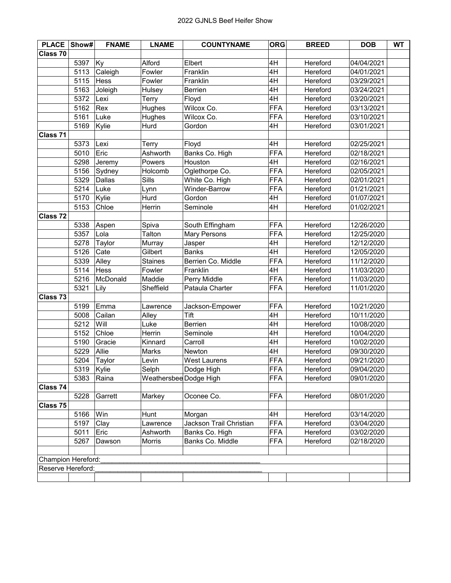| <b>PLACE Show#</b> |            | <b>FNAME</b> | <b>LNAME</b>           | <b>COUNTYNAME</b>       | <b>ORG</b> | <b>BREED</b> | <b>DOB</b> | <b>WT</b> |
|--------------------|------------|--------------|------------------------|-------------------------|------------|--------------|------------|-----------|
| Class 70           |            |              |                        |                         |            |              |            |           |
|                    | 5397       | Ky           | Alford                 | Elbert                  | 4H         | Hereford     | 04/04/2021 |           |
|                    | 5113       | Caleigh      | Fowler                 | Franklin                | 4H         | Hereford     | 04/01/2021 |           |
|                    | 5115       | Hess         | Fowler                 | Franklin                | 4H         | Hereford     | 03/29/2021 |           |
|                    | 5163       | Joleigh      | Hulsey                 | Berrien                 | 4H         | Hereford     | 03/24/2021 |           |
|                    | 5372       | Lexi         | Terry                  | Floyd                   | 4H         | Hereford     | 03/20/2021 |           |
|                    | 5162       | Rex          | Hughes                 | Wilcox Co.              | <b>FFA</b> | Hereford     | 03/13/2021 |           |
|                    | 5161       | Luke         | Hughes                 | Wilcox Co.              | <b>FFA</b> | Hereford     | 03/10/2021 |           |
|                    | 5169       | Kylie        | Hurd                   | Gordon                  | 4H         | Hereford     | 03/01/2021 |           |
| Class 71           |            |              |                        |                         |            |              |            |           |
|                    | 5373       | Lexi         | Terry                  | Floyd                   | 4H         | Hereford     | 02/25/2021 |           |
|                    | 5010       | Eric         | Ashworth               | Banks Co. High          | <b>FFA</b> | Hereford     | 02/18/2021 |           |
|                    | 5298       | Jeremy       | Powers                 | Houston                 | 4H         | Hereford     | 02/16/2021 |           |
|                    | 5156       | Sydney       | Holcomb                | Oglethorpe Co.          | <b>FFA</b> | Hereford     | 02/05/2021 |           |
|                    | 5329       | Dallas       | Sills                  | White Co. High          | <b>FFA</b> | Hereford     | 02/01/2021 |           |
|                    | 5214       | Luke         | Lynn                   | Winder-Barrow           | <b>FFA</b> | Hereford     | 01/21/2021 |           |
|                    | 5170       | Kylie        | Hurd                   | Gordon                  | 4H         | Hereford     | 01/07/2021 |           |
|                    | 5153       | Chloe        | Herrin                 | Seminole                | 4H         | Hereford     | 01/02/2021 |           |
| Class 72           |            |              |                        |                         |            |              |            |           |
|                    | 5338       | Aspen        | Spiva                  | South Effingham         | <b>FFA</b> | Hereford     | 12/26/2020 |           |
|                    | 5357       | Lola         | Talton                 | <b>Mary Persons</b>     | <b>FFA</b> | Hereford     | 12/25/2020 |           |
|                    | 5278       | Taylor       | Murray                 | Jasper                  | 4H         | Hereford     | 12/12/2020 |           |
|                    | 5126       | Cate         | Gilbert                | <b>Banks</b>            | 4H         | Hereford     | 12/05/2020 |           |
|                    | 5339       | Alley        | <b>Staines</b>         | Berrien Co. Middle      | <b>FFA</b> | Hereford     | 11/12/2020 |           |
|                    | 5114       | Hess         | Fowler                 | Franklin                | 4H         | Hereford     | 11/03/2020 |           |
|                    | 5216       | McDonald     | Maddie                 | Perry Middle            | <b>FFA</b> | Hereford     | 11/03/2020 |           |
|                    | 5321       | Lily         | Sheffield              | Pataula Charter         | <b>FFA</b> | Hereford     | 11/01/2020 |           |
| Class 73           |            |              |                        |                         |            |              |            |           |
|                    | 5199       | Emma         | Lawrence               | Jackson-Empower         | <b>FFA</b> | Hereford     | 10/21/2020 |           |
|                    | 5008       | Cailan       | Alley                  | Tift                    | 4H         | Hereford     | 10/11/2020 |           |
|                    | 5212       | Will         | Luke                   | <b>Berrien</b>          | 4H         | Hereford     | 10/08/2020 |           |
|                    | 5152       | Chloe        | Herrin                 | Seminole                | 4H         | Hereford     | 10/04/2020 |           |
|                    | 5190       | Gracie       | Kinnard                | Carroll                 | 4H         | Hereford     | 10/02/2020 |           |
|                    | 5229       | Allie        | Marks                  | Newton                  | 4H         | Hereford     | 09/30/2020 |           |
|                    | 5204       | Taylor       | Levin                  | West Laurens            | <b>FFA</b> | Hereford     | 09/21/2020 |           |
|                    | 5319 Kylie |              | Selph                  | Dodge High              | FFA        | Hereford     | 09/04/2020 |           |
|                    | 5383       | Raina        | Weathersbee Dodge High |                         | <b>FFA</b> | Hereford     | 09/01/2020 |           |
| Class 74           |            |              |                        |                         |            |              |            |           |
|                    | 5228       | Garrett      | Markey                 | Oconee Co.              | <b>FFA</b> | Hereford     | 08/01/2020 |           |
| Class 75           |            |              |                        |                         |            |              |            |           |
|                    | 5166       | Win          | Hunt                   | Morgan                  | 4H         | Hereford     | 03/14/2020 |           |
|                    | 5197       | Clay         | Lawrence               | Jackson Trail Christian | <b>FFA</b> | Hereford     | 03/04/2020 |           |
|                    | 5011       | Eric         | Ashworth               | Banks Co. High          | <b>FFA</b> | Hereford     | 03/02/2020 |           |
|                    | 5267       | Dawson       | Morris                 | Banks Co. Middle        | <b>FFA</b> | Hereford     | 02/18/2020 |           |
|                    |            |              |                        |                         |            |              |            |           |
| Champion Hereford: |            |              |                        |                         |            |              |            |           |
| Reserve Hereford:  |            |              |                        |                         |            |              |            |           |
|                    |            |              |                        |                         |            |              |            |           |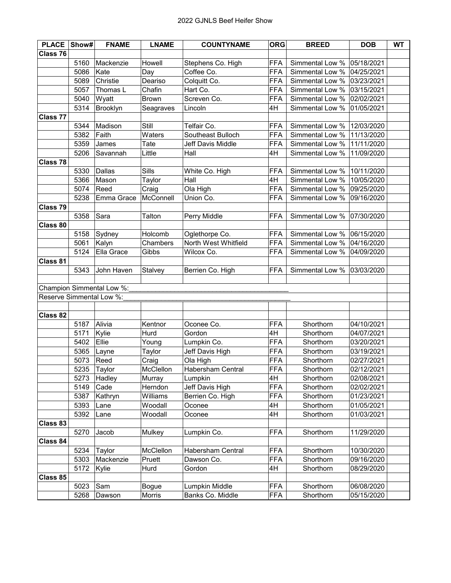| <b>PLACE</b>             | Show# | <b>FNAME</b>              | <b>LNAME</b> | <b>COUNTYNAME</b>    | <b>ORG</b> | <b>BREED</b>    | <b>DOB</b> | <b>WT</b> |
|--------------------------|-------|---------------------------|--------------|----------------------|------------|-----------------|------------|-----------|
| Class 76                 |       |                           |              |                      |            |                 |            |           |
|                          | 5160  | Mackenzie                 | Howell       | Stephens Co. High    | <b>FFA</b> | Simmental Low % | 05/18/2021 |           |
|                          | 5086  | Kate                      | Day          | Coffee Co.           | <b>FFA</b> | Simmental Low % | 04/25/2021 |           |
|                          | 5089  | Christie                  | Deariso      | Colquitt Co.         | <b>FFA</b> | Simmental Low % | 03/23/2021 |           |
|                          | 5057  | Thomas L                  | Chafin       | Hart Co.             | <b>FFA</b> | Simmental Low % | 03/15/2021 |           |
|                          | 5040  | Wyatt                     | <b>Brown</b> | Screven Co.          | <b>FFA</b> | Simmental Low % | 02/02/2021 |           |
|                          | 5314  | Brooklyn                  | Seagraves    | Lincoln              | 4H         | Simmental Low % | 01/05/2021 |           |
| <b>Class 77</b>          |       |                           |              |                      |            |                 |            |           |
|                          | 5344  | Madison                   | Still        | Telfair Co.          | <b>FFA</b> | Simmental Low % | 12/03/2020 |           |
|                          | 5382  | Faith                     | Waters       | Southeast Bulloch    | <b>FFA</b> | Simmental Low % | 11/13/2020 |           |
|                          | 5359  | James                     | Tate         | Jeff Davis Middle    | <b>FFA</b> | Simmental Low % | 11/11/2020 |           |
|                          | 5206  | Savannah                  | Little       | Hall                 | 4H         | Simmental Low % | 11/09/2020 |           |
| Class 78                 |       |                           |              |                      |            |                 |            |           |
|                          | 5330  | Dallas                    | Sills        | White Co. High       | FFA        | Simmental Low % | 10/11/2020 |           |
|                          | 5366  | Mason                     | Taylor       | Hall                 | 4H         | Simmental Low % | 10/05/2020 |           |
|                          | 5074  | Reed                      | Craig        | Ola High             | <b>FFA</b> | Simmental Low % | 09/25/2020 |           |
|                          | 5238  | Emma Grace                | McConnell    | Union Co.            | <b>FFA</b> | Simmental Low % | 09/16/2020 |           |
| Class 79                 |       |                           |              |                      |            |                 |            |           |
|                          | 5358  | Sara                      | Talton       | Perry Middle         | <b>FFA</b> | Simmental Low % | 07/30/2020 |           |
| Class 80                 |       |                           |              |                      |            |                 |            |           |
|                          | 5158  | Sydney                    | Holcomb      | Oglethorpe Co.       | <b>FFA</b> | Simmental Low % | 06/15/2020 |           |
|                          | 5061  | Kalyn                     | Chambers     | North West Whitfield | <b>FFA</b> | Simmental Low % | 04/16/2020 |           |
|                          | 5124  | Ella Grace                | Gibbs        | Wilcox Co.           | <b>FFA</b> | Simmental Low % | 04/09/2020 |           |
| Class 81                 |       |                           |              |                      |            |                 |            |           |
|                          | 5343  | John Haven                | Stalvey      | Berrien Co. High     | <b>FFA</b> | Simmental Low % | 03/03/2020 |           |
|                          |       |                           |              |                      |            |                 |            |           |
|                          |       | Champion Simmental Low %: |              |                      |            |                 |            |           |
| Reserve Simmental Low %: |       |                           |              |                      |            |                 |            |           |
|                          |       |                           |              |                      |            |                 |            |           |
| Class 82                 |       |                           |              |                      |            |                 |            |           |
|                          | 5187  | Alivia                    | Kentnor      | Oconee Co.           | <b>FFA</b> | Shorthorn       | 04/10/2021 |           |
|                          | 5171  | Kylie                     | Hurd         | Gordon               | 4H         | Shorthorn       | 04/07/2021 |           |
|                          | 5402  | Ellie                     | Young        | Lumpkin Co.          | <b>FFA</b> | Shorthorn       | 03/20/2021 |           |
|                          | 5365  | Layne                     | Taylor       | Jeff Davis High      | <b>FFA</b> | Shorthorn       | 03/19/2021 |           |
|                          | 5073  | Reed                      | Craig        | Ola High             | <b>FFA</b> | Shorthorn       | 02/27/2021 |           |
|                          |       | 5235 Taylor               | McClellon    | Habersham Central    | FFA        | Shorthorn       | 02/12/2021 |           |
|                          | 5273  | Hadley                    | Murray       | Lumpkin              | 4H         | Shorthorn       | 02/08/2021 |           |
|                          | 5149  | Cade                      | Herndon      | Jeff Davis High      | <b>FFA</b> | Shorthorn       | 02/02/2021 |           |
|                          | 5387  | Kathryn                   | Williams     | Berrien Co. High     | <b>FFA</b> | Shorthorn       | 01/23/2021 |           |
|                          | 5393  | Lane                      | Woodall      | Oconee               | 4H         | Shorthorn       | 01/05/2021 |           |
|                          | 5392  | Lane                      | Woodall      | Oconee               | 4H         | Shorthorn       | 01/03/2021 |           |
| Class 83                 |       |                           |              |                      |            |                 |            |           |
|                          | 5270  | Jacob                     | Mulkey       | Lumpkin Co.          | <b>FFA</b> | Shorthorn       | 11/29/2020 |           |
| Class 84                 |       |                           |              |                      |            |                 |            |           |
|                          | 5234  | Taylor                    | McClellon    | Habersham Central    | <b>FFA</b> | Shorthorn       | 10/30/2020 |           |
|                          | 5303  | Mackenzie                 | Pruett       | Dawson Co.           | <b>FFA</b> | Shorthorn       | 09/16/2020 |           |
|                          | 5172  | Kylie                     | Hurd         | Gordon               | 4H         | Shorthorn       | 08/29/2020 |           |
| Class 85                 |       |                           |              |                      |            |                 |            |           |
|                          | 5023  | Sam                       | Bogue        | Lumpkin Middle       | <b>FFA</b> | Shorthorn       | 06/08/2020 |           |
|                          | 5268  | Dawson                    | Morris       | Banks Co. Middle     | FFA        | Shorthorn       | 05/15/2020 |           |